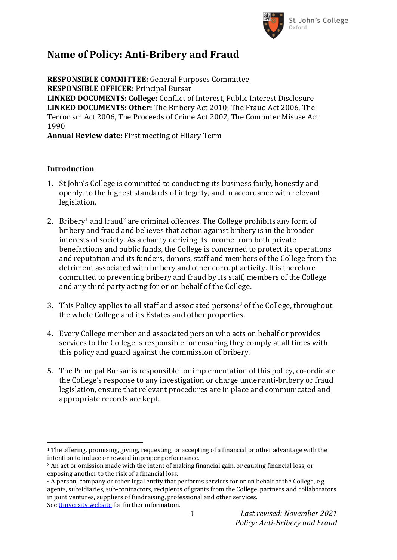

# **Name of Policy: Anti-Bribery and Fraud**

**RESPONSIBLE COMMITTEE:** General Purposes Committee **RESPONSIBLE OFFICER:** Principal Bursar **LINKED DOCUMENTS: College:** Conflict of Interest, Public Interest Disclosure **LINKED DOCUMENTS: Other:** The Bribery Act 2010; The Fraud Act 2006, The Terrorism Act 2006, The Proceeds of Crime Act 2002, The Computer Misuse Act 1990

**Annual Review date:** First meeting of Hilary Term

### **Introduction**

- 1. St John's College is committed to conducting its business fairly, honestly and openly, to the highest standards of integrity, and in accordance with relevant legislation.
- 2. Bribery<sup>1</sup> and fraud<sup>2</sup> are criminal offences. The College prohibits any form of bribery and fraud and believes that action against bribery is in the broader interests of society. As a charity deriving its income from both private benefactions and public funds, the College is concerned to protect its operations and reputation and its funders, donors, staff and members of the College from the detriment associated with bribery and other corrupt activity. It is therefore committed to preventing bribery and fraud by its staff, members of the College and any third party acting for or on behalf of the College.
- 3. This Policy applies to all staff and associated persons<sup>3</sup> of the College, throughout the whole College and its Estates and other properties.
- 4. Every College member and associated person who acts on behalf or provides services to the College is responsible for ensuring they comply at all times with this policy and guard against the commission of bribery.
- 5. The Principal Bursar is responsible for implementation of this policy, co-ordinate the College's response to any investigation or charge under anti-bribery or fraud legislation, ensure that relevant procedures are in place and communicated and appropriate records are kept.

 $\overline{a}$  $1$  The offering, promising, giving, requesting, or accepting of a financial or other advantage with the intention to induce or reward improper performance.

<sup>2</sup> An act or omission made with the intent of making financial gain, or causing financial loss, or exposing another to the risk of a financial loss.

<sup>&</sup>lt;sup>3</sup> A person, company or other legal entity that performs services for or on behalf of the College, e.g. agents, subsidiaries, sub-contractors, recipients of grants from the College, partners and collaborators in joint ventures, suppliers of fundraising, professional and other services. See [University website](https://compliance.admin.ox.ac.uk/definitions-and-interpretations) for further information.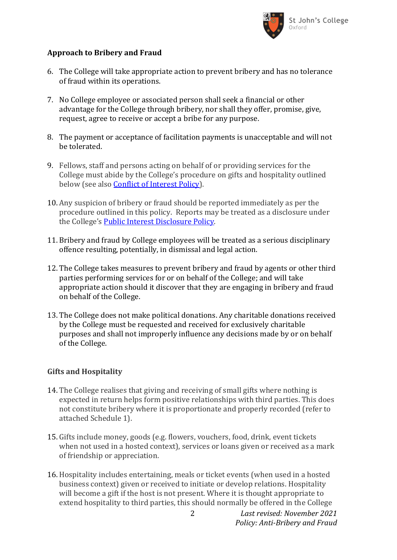

# **Approach to Bribery and Fraud**

- 6. The College will take appropriate action to prevent bribery and has no tolerance of fraud within its operations.
- 7. No College employee or associated person shall seek a financial or other advantage for the College through bribery, nor shall they offer, promise, give, request, agree to receive or accept a bribe for any purpose.
- 8. The payment or acceptance of facilitation payments is unacceptable and will not be tolerated.
- 9. Fellows, staff and persons acting on behalf of or providing services for the College must abide by the College's procedure on gifts and hospitality outlined below (see also [Conflict of Interest Policy\)](https://www.sjc.ox.ac.uk/discover/about-college/legal/college-policies/).
- 10. Any suspicion of bribery or fraud should be reported immediately as per the procedure outlined in this policy. Reports may be treated as a disclosure under the College's [Public Interest Disclosure Policy.](https://www.sjc.ox.ac.uk/discover/about-college/legal/college-policies/)
- 11. Bribery and fraud by College employees will be treated as a serious disciplinary offence resulting, potentially, in dismissal and legal action.
- 12. The College takes measures to prevent bribery and fraud by agents or other third parties performing services for or on behalf of the College; and will take appropriate action should it discover that they are engaging in bribery and fraud on behalf of the College.
- 13. The College does not make political donations. Any charitable donations received by the College must be requested and received for exclusively charitable purposes and shall not improperly influence any decisions made by or on behalf of the College.

#### **Gifts and Hospitality**

- 14. The College realises that giving and receiving of small gifts where nothing is expected in return helps form positive relationships with third parties. This does not constitute bribery where it is proportionate and properly recorded (refer to attached Schedule 1).
- 15. Gifts include money, goods (e.g. flowers, vouchers, food, drink, event tickets when not used in a hosted context), services or loans given or received as a mark of friendship or appreciation.
- 16. Hospitality includes entertaining, meals or ticket events (when used in a hosted business context) given or received to initiate or develop relations. Hospitality will become a gift if the host is not present. Where it is thought appropriate to extend hospitality to third parties, this should normally be offered in the College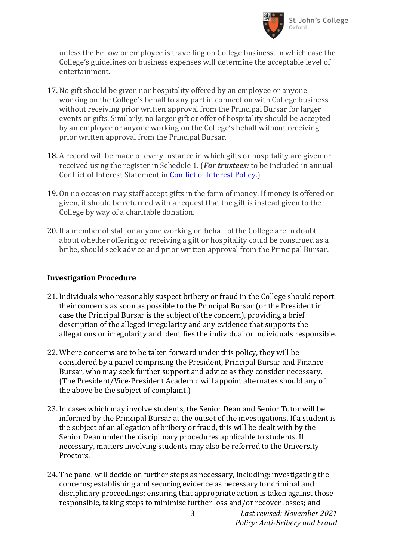

unless the Fellow or employee is travelling on College business, in which case the College's guidelines on business expenses will determine the acceptable level of entertainment.

- 17. No gift should be given nor hospitality offered by an employee or anyone working on the College's behalf to any part in connection with College business without receiving prior written approval from the Principal Bursar for larger events or gifts. Similarly, no larger gift or offer of hospitality should be accepted by an employee or anyone working on the College's behalf without receiving prior written approval from the Principal Bursar.
- 18. A record will be made of every instance in which gifts or hospitality are given or received using the register in Schedule 1. (*For trustees:* to be included in annual Conflict of Interest Statement in [Conflict of Interest Policy.](https://www.sjc.ox.ac.uk/discover/about-college/legal/college-policies/))
- 19. On no occasion may staff accept gifts in the form of money. If money is offered or given, it should be returned with a request that the gift is instead given to the College by way of a charitable donation.
- 20. If a member of staff or anyone working on behalf of the College are in doubt about whether offering or receiving a gift or hospitality could be construed as a bribe, should seek advice and prior written approval from the Principal Bursar.

#### **Investigation Procedure**

- 21. Individuals who reasonably suspect bribery or fraud in the College should report their concerns as soon as possible to the Principal Bursar (or the President in case the Principal Bursar is the subject of the concern), providing a brief description of the alleged irregularity and any evidence that supports the allegations or irregularity and identifies the individual or individuals responsible.
- 22. Where concerns are to be taken forward under this policy, they will be considered by a panel comprising the President, Principal Bursar and Finance Bursar, who may seek further support and advice as they consider necessary. (The President/Vice-President Academic will appoint alternates should any of the above be the subject of complaint.)
- 23. In cases which may involve students, the Senior Dean and Senior Tutor will be informed by the Principal Bursar at the outset of the investigations. If a student is the subject of an allegation of bribery or fraud, this will be dealt with by the Senior Dean under the disciplinary procedures applicable to students. If necessary, matters involving students may also be referred to the University Proctors.
- 24. The panel will decide on further steps as necessary, including: investigating the concerns; establishing and securing evidence as necessary for criminal and disciplinary proceedings; ensuring that appropriate action is taken against those responsible, taking steps to minimise further loss and/or recover losses; and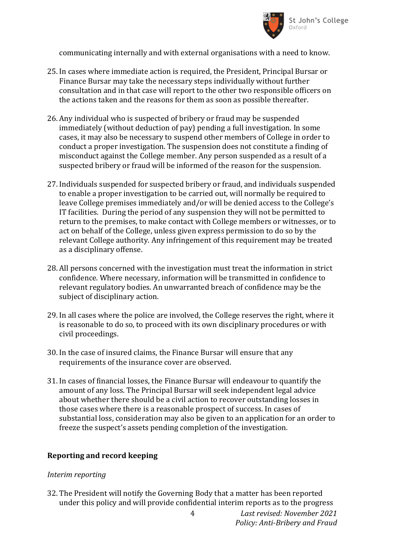

communicating internally and with external organisations with a need to know.

- 25. In cases where immediate action is required, the President, Principal Bursar or Finance Bursar may take the necessary steps individually without further consultation and in that case will report to the other two responsible officers on the actions taken and the reasons for them as soon as possible thereafter.
- 26. Any individual who is suspected of bribery or fraud may be suspended immediately (without deduction of pay) pending a full investigation. In some cases, it may also be necessary to suspend other members of College in order to conduct a proper investigation. The suspension does not constitute a finding of misconduct against the College member. Any person suspended as a result of a suspected bribery or fraud will be informed of the reason for the suspension.
- 27. Individuals suspended for suspected bribery or fraud, and individuals suspended to enable a proper investigation to be carried out, will normally be required to leave College premises immediately and/or will be denied access to the College's IT facilities. During the period of any suspension they will not be permitted to return to the premises, to make contact with College members or witnesses, or to act on behalf of the College, unless given express permission to do so by the relevant College authority. Any infringement of this requirement may be treated as a disciplinary offense.
- 28. All persons concerned with the investigation must treat the information in strict confidence. Where necessary, information will be transmitted in confidence to relevant regulatory bodies. An unwarranted breach of confidence may be the subject of disciplinary action.
- 29. In all cases where the police are involved, the College reserves the right, where it is reasonable to do so, to proceed with its own disciplinary procedures or with civil proceedings.
- 30. In the case of insured claims, the Finance Bursar will ensure that any requirements of the insurance cover are observed.
- 31. In cases of financial losses, the Finance Bursar will endeavour to quantify the amount of any loss. The Principal Bursar will seek independent legal advice about whether there should be a civil action to recover outstanding losses in those cases where there is a reasonable prospect of success. In cases of substantial loss, consideration may also be given to an application for an order to freeze the suspect's assets pending completion of the investigation.

#### **Reporting and record keeping**

#### *Interim reporting*

32. The President will notify the Governing Body that a matter has been reported under this policy and will provide confidential interim reports as to the progress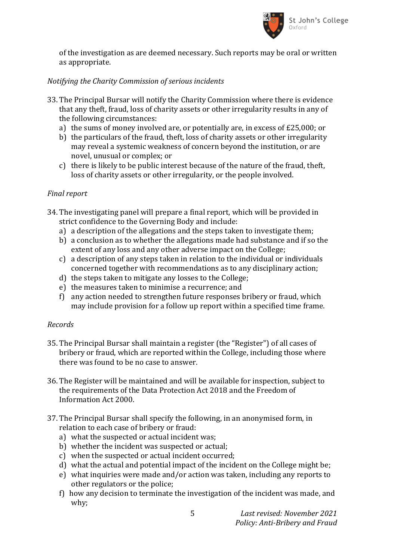

of the investigation as are deemed necessary. Such reports may be oral or written as appropriate.

## *Notifying the Charity Commission of serious incidents*

- 33. The Principal Bursar will notify the Charity Commission where there is evidence that any theft, fraud, loss of charity assets or other irregularity results in any of the following circumstances:
	- a) the sums of money involved are, or potentially are, in excess of £25,000; or
	- b) the particulars of the fraud, theft, loss of charity assets or other irregularity may reveal a systemic weakness of concern beyond the institution, or are novel, unusual or complex; or
	- c) there is likely to be public interest because of the nature of the fraud, theft, loss of charity assets or other irregularity, or the people involved.

### *Final report*

- 34. The investigating panel will prepare a final report, which will be provided in strict confidence to the Governing Body and include:
	- a) a description of the allegations and the steps taken to investigate them;
	- b) a conclusion as to whether the allegations made had substance and if so the extent of any loss and any other adverse impact on the College;
	- c) a description of any steps taken in relation to the individual or individuals concerned together with recommendations as to any disciplinary action;
	- d) the steps taken to mitigate any losses to the College;
	- e) the measures taken to minimise a recurrence; and
	- f) any action needed to strengthen future responses bribery or fraud, which may include provision for a follow up report within a specified time frame.

#### *Records*

- 35. The Principal Bursar shall maintain a register (the "Register") of all cases of bribery or fraud, which are reported within the College, including those where there was found to be no case to answer.
- 36. The Register will be maintained and will be available for inspection, subject to the requirements of the Data Protection Act 2018 and the Freedom of Information Act 2000.
- 37. The Principal Bursar shall specify the following, in an anonymised form, in relation to each case of bribery or fraud:
	- a) what the suspected or actual incident was;
	- b) whether the incident was suspected or actual;
	- c) when the suspected or actual incident occurred;
	- d) what the actual and potential impact of the incident on the College might be;
	- e) what inquiries were made and/or action was taken, including any reports to other regulators or the police;
	- f) how any decision to terminate the investigation of the incident was made, and why;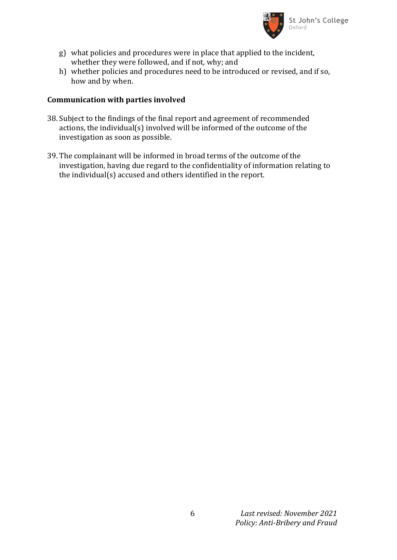

- g) what policies and procedures were in place that applied to the incident, whether they were followed, and if not, why; and
- h) whether policies and procedures need to be introduced or revised, and if so, how and by when.

### **Communication with parties involved**

- 38. Subject to the findings of the final report and agreement of recommended actions, the individual(s) involved will be informed of the outcome of the investigation as soon as possible.
- 39. The complainant will be informed in broad terms of the outcome of the investigation, having due regard to the confidentiality of information relating to the individual(s) accused and others identified in the report.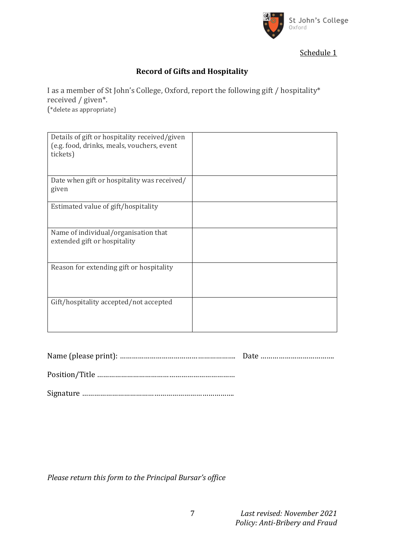

Schedule 1

# **Record of Gifts and Hospitality**

I as a member of St John's College, Oxford, report the following gift / hospitality\* received / given\*. (\*delete as appropriate)

| Details of gift or hospitality received/given<br>(e.g. food, drinks, meals, vouchers, event<br>tickets) |  |
|---------------------------------------------------------------------------------------------------------|--|
| Date when gift or hospitality was received/<br>given                                                    |  |
| Estimated value of gift/hospitality                                                                     |  |
| Name of individual/organisation that<br>extended gift or hospitality                                    |  |
| Reason for extending gift or hospitality                                                                |  |
| Gift/hospitality accepted/not accepted                                                                  |  |

*Please return this form to the Principal Bursar's office*